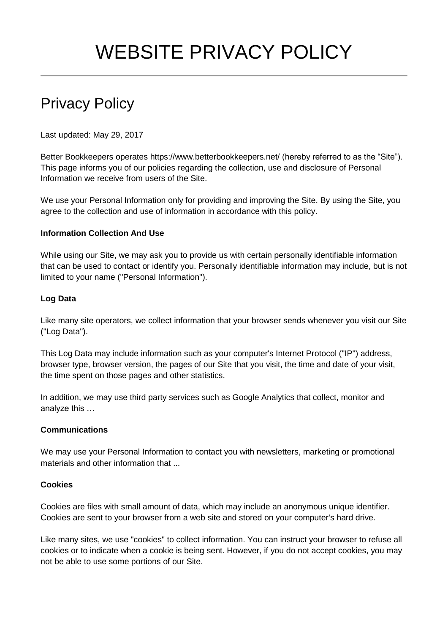# WEBSITE PRIVACY POLICY

# Privacy Policy

Last updated: May 29, 2017

Better Bookkeepers operates https://www.betterbookkeepers.net/ (hereby referred to as the "Site"). This page informs you of our policies regarding the collection, use and disclosure of Personal Information we receive from users of the Site.

We use your Personal Information only for providing and improving the Site. By using the Site, you agree to the collection and use of information in accordance with this policy.

## **Information Collection And Use**

While using our Site, we may ask you to provide us with certain personally identifiable information that can be used to contact or identify you. Personally identifiable information may include, but is not limited to your name ("Personal Information").

## **Log Data**

Like many site operators, we collect information that your browser sends whenever you visit our Site ("Log Data").

This Log Data may include information such as your computer's Internet Protocol ("IP") address, browser type, browser version, the pages of our Site that you visit, the time and date of your visit, the time spent on those pages and other statistics.

In addition, we may use third party services such as Google Analytics that collect, monitor and analyze this …

#### **Communications**

We may use your Personal Information to contact you with newsletters, marketing or promotional materials and other information that ...

#### **Cookies**

Cookies are files with small amount of data, which may include an anonymous unique identifier. Cookies are sent to your browser from a web site and stored on your computer's hard drive.

Like many sites, we use "cookies" to collect information. You can instruct your browser to refuse all cookies or to indicate when a cookie is being sent. However, if you do not accept cookies, you may not be able to use some portions of our Site.